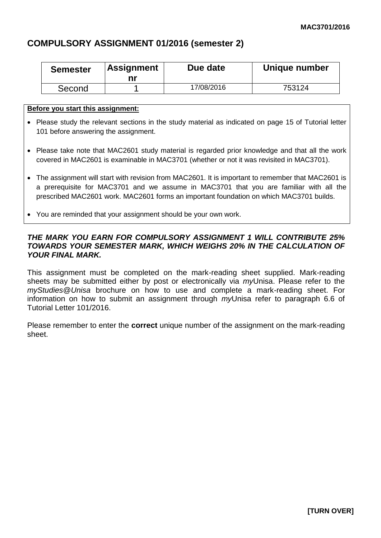# **COMPULSORY ASSIGNMENT 01/2016 (semester 2)**

| <b>Semester</b> | <b>Assignment</b><br>nı | Due date   | Unique number |
|-----------------|-------------------------|------------|---------------|
| Second          |                         | 17/08/2016 | 753124        |

#### **Before you start this assignment:**

- Please study the relevant sections in the study material as indicated on page 15 of Tutorial letter 101 before answering the assignment.
- Please take note that MAC2601 study material is regarded prior knowledge and that all the work covered in MAC2601 is examinable in MAC3701 (whether or not it was revisited in MAC3701).
- The assignment will start with revision from MAC2601. It is important to remember that MAC2601 is a prerequisite for MAC3701 and we assume in MAC3701 that you are familiar with all the prescribed MAC2601 work. MAC2601 forms an important foundation on which MAC3701 builds.
- You are reminded that your assignment should be your own work.

### *THE MARK YOU EARN FOR COMPULSORY ASSIGNMENT 1 WILL CONTRIBUTE 25% TOWARDS YOUR SEMESTER MARK, WHICH WEIGHS 20% IN THE CALCULATION OF YOUR FINAL MARK.*

This assignment must be completed on the mark-reading sheet supplied. Mark-reading sheets may be submitted either by post or electronically via *my*Unisa. Please refer to the *myStudies*@*Unisa* brochure on how to use and complete a mark-reading sheet. For information on how to submit an assignment through *my*Unisa refer to paragraph 6.6 of Tutorial Letter 101/2016.

Please remember to enter the **correct** unique number of the assignment on the mark-reading sheet.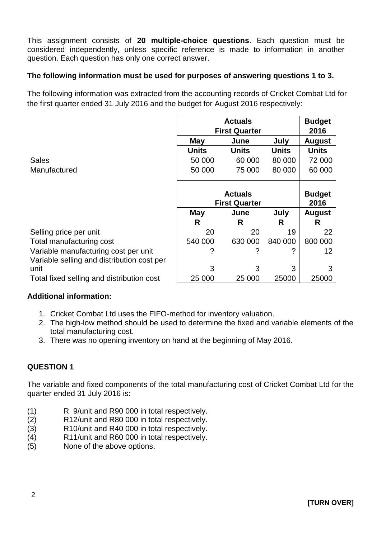This assignment consists of **20 multiple-choice questions**. Each question must be considered independently, unless specific reference is made to information in another question. Each question has only one correct answer.

## **The following information must be used for purposes of answering questions 1 to 3.**

The following information was extracted from the accounting records of Cricket Combat Ltd for the first quarter ended 31 July 2016 and the budget for August 2016 respectively:

|                                            | <b>Actuals</b>       |              |               | <b>Budget</b> |
|--------------------------------------------|----------------------|--------------|---------------|---------------|
|                                            | <b>First Quarter</b> |              |               | 2016          |
|                                            | May                  | June         | July          | <b>August</b> |
|                                            | Units                | <b>Units</b> | <b>Units</b>  | <b>Units</b>  |
| <b>Sales</b>                               | 50 000               | 60 000       | 80 000        | 72 000        |
| Manufactured                               | 50 000               | 75 000       | 80 000        | 60 000        |
|                                            |                      |              |               |               |
|                                            | <b>Actuals</b>       |              | <b>Budget</b> |               |
|                                            | <b>First Quarter</b> |              |               | 2016          |
|                                            | May                  | June         | July          | <b>August</b> |
|                                            | R                    | R            | R             | R             |
| Selling price per unit                     | 20                   | 20           | 19            | 22            |
| Total manufacturing cost                   | 540 000              | 630 000      | 840 000       | 800 000       |
| Variable manufacturing cost per unit       | ?                    |              | ?             | 12            |
| Variable selling and distribution cost per |                      |              |               |               |
|                                            |                      |              |               |               |
| unit                                       | 3                    | 3            | 3             | 3             |

## **Additional information:**

- 1. Cricket Combat Ltd uses the FIFO-method for inventory valuation.
- 2. The high-low method should be used to determine the fixed and variable elements of the total manufacturing cost.
- 3. There was no opening inventory on hand at the beginning of May 2016.

## **QUESTION 1**

The variable and fixed components of the total manufacturing cost of Cricket Combat Ltd for the quarter ended 31 July 2016 is:

- (1) R 9/unit and R90 000 in total respectively.
- (2) R12/unit and R80 000 in total respectively.
- (3) R10/unit and R40 000 in total respectively.
- (4) R11/unit and R60 000 in total respectively.
- (5) None of the above options.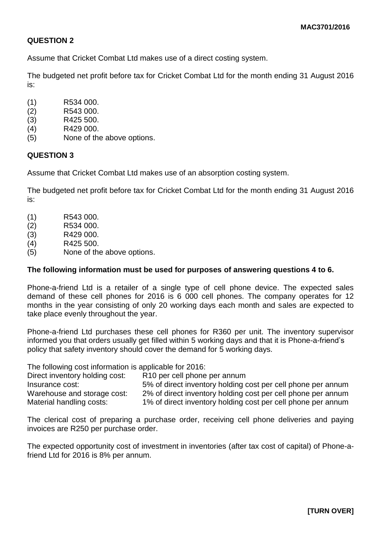Assume that Cricket Combat Ltd makes use of a direct costing system.

The budgeted net profit before tax for Cricket Combat Ltd for the month ending 31 August 2016 is:

- (1) R534 000.
- (2) R543 000.
- (3) R425 500.
- (4) R429 000.
- (5) None of the above options.

## **QUESTION 3**

Assume that Cricket Combat Ltd makes use of an absorption costing system.

The budgeted net profit before tax for Cricket Combat Ltd for the month ending 31 August 2016 is:

- (1) R543 000.
- (2) R534 000.
- (3) R429 000.
- (4) R425 500.
- (5) None of the above options.

### **The following information must be used for purposes of answering questions 4 to 6.**

Phone-a-friend Ltd is a retailer of a single type of cell phone device. The expected sales demand of these cell phones for 2016 is 6 000 cell phones. The company operates for 12 months in the year consisting of only 20 working days each month and sales are expected to take place evenly throughout the year.

Phone-a-friend Ltd purchases these cell phones for R360 per unit. The inventory supervisor informed you that orders usually get filled within 5 working days and that it is Phone-a-friend's policy that safety inventory should cover the demand for 5 working days.

The following cost information is applicable for 2016:

| Direct inventory holding cost: | R <sub>10</sub> per cell phone per annum                     |
|--------------------------------|--------------------------------------------------------------|
| Insurance cost:                | 5% of direct inventory holding cost per cell phone per annum |
| Warehouse and storage cost:    | 2% of direct inventory holding cost per cell phone per annum |
| Material handling costs:       | 1% of direct inventory holding cost per cell phone per annum |

The clerical cost of preparing a purchase order, receiving cell phone deliveries and paying invoices are R250 per purchase order.

The expected opportunity cost of investment in inventories (after tax cost of capital) of Phone-afriend Ltd for 2016 is 8% per annum.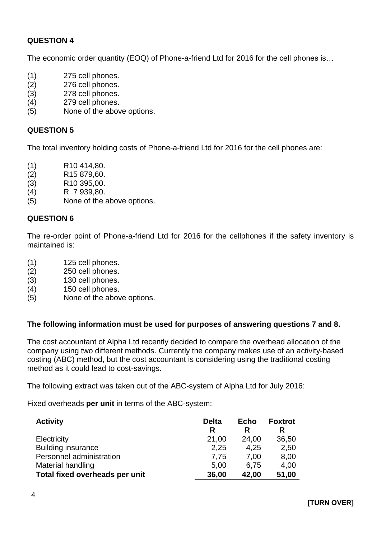The economic order quantity (EOQ) of Phone-a-friend Ltd for 2016 for the cell phones is...

- (1) 275 cell phones.
- (2) 276 cell phones.
- (3) 278 cell phones.
- (4) 279 cell phones.
- (5) None of the above options.

### **QUESTION 5**

The total inventory holding costs of Phone-a-friend Ltd for 2016 for the cell phones are:

- (1) R10 414,80.
- (2) R15 879,60.
- (3) R10 395,00.
- (4) R 7 939,80.
- (5) None of the above options.

### **QUESTION 6**

The re-order point of Phone-a-friend Ltd for 2016 for the cellphones if the safety inventory is maintained is:

- (1) 125 cell phones.
- (2) 250 cell phones.
- (3) 130 cell phones.
- (4) 150 cell phones.
- (5) None of the above options.

#### **The following information must be used for purposes of answering questions 7 and 8.**

The cost accountant of Alpha Ltd recently decided to compare the overhead allocation of the company using two different methods. Currently the company makes use of an activity-based costing (ABC) method, but the cost accountant is considering using the traditional costing method as it could lead to cost-savings.

The following extract was taken out of the ABC-system of Alpha Ltd for July 2016:

Fixed overheads **per unit** in terms of the ABC-system:

| <b>Activity</b>                | <b>Delta</b> | <b>Echo</b> | <b>Foxtrot</b> |
|--------------------------------|--------------|-------------|----------------|
|                                | R            | R           | R              |
| Electricity                    | 21,00        | 24,00       | 36,50          |
| <b>Building insurance</b>      | 2,25         | 4,25        | 2,50           |
| Personnel administration       | 7,75         | 7.00        | 8,00           |
| <b>Material handling</b>       | 5.00         | 6.75        | 4,00           |
| Total fixed overheads per unit | 36,00        | 42,00       | 51,00          |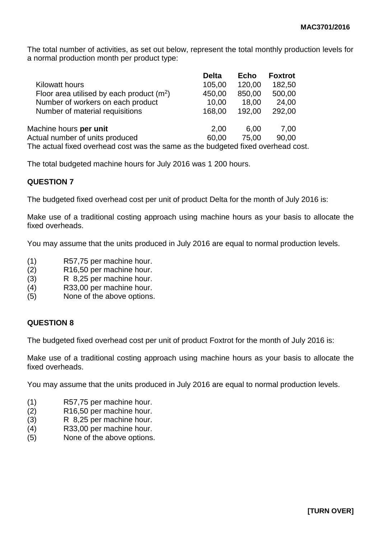The total number of activities, as set out below, represent the total monthly production levels for a normal production month per product type:

|                                                                               | <b>Delta</b> | <b>Echo</b> | <b>Foxtrot</b> |
|-------------------------------------------------------------------------------|--------------|-------------|----------------|
| <b>Kilowatt hours</b>                                                         | 105,00       | 120,00      | 182,50         |
| Floor area utilised by each product $(m^2)$                                   | 450,00       | 850,00      | 500,00         |
| Number of workers on each product                                             | 10,00        | 18,00       | 24,00          |
| Number of material requisitions                                               | 168,00       | 192,00      | 292,00         |
| Machine hours per unit                                                        | 2,00         | 6.00        | 7.00           |
| Actual number of units produced                                               | 60,00        | 75.00       | 90,00          |
| The actual fixed everhood cest was the same as the budgeted fixed everhood se |              |             |                |

The actual fixed overhead cost was the same as the budgeted fixed overhead cost.

The total budgeted machine hours for July 2016 was 1 200 hours.

### **QUESTION 7**

The budgeted fixed overhead cost per unit of product Delta for the month of July 2016 is:

Make use of a traditional costing approach using machine hours as your basis to allocate the fixed overheads.

You may assume that the units produced in July 2016 are equal to normal production levels.

- (1) R57,75 per machine hour.
- (2) R16,50 per machine hour.
- (3) R 8,25 per machine hour.
- (4) R33,00 per machine hour.
- (5) None of the above options.

### **QUESTION 8**

The budgeted fixed overhead cost per unit of product Foxtrot for the month of July 2016 is:

Make use of a traditional costing approach using machine hours as your basis to allocate the fixed overheads.

You may assume that the units produced in July 2016 are equal to normal production levels.

- (1) R57,75 per machine hour.
- (2) R16,50 per machine hour.
- (3) R 8,25 per machine hour.
- (4) R33,00 per machine hour.
- (5) None of the above options.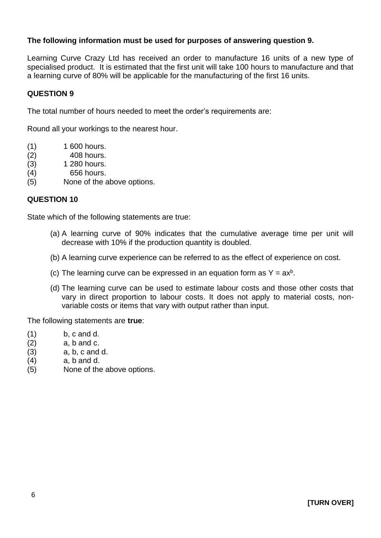## **The following information must be used for purposes of answering question 9.**

Learning Curve Crazy Ltd has received an order to manufacture 16 units of a new type of specialised product. It is estimated that the first unit will take 100 hours to manufacture and that a learning curve of 80% will be applicable for the manufacturing of the first 16 units.

### **QUESTION 9**

The total number of hours needed to meet the order's requirements are:

Round all your workings to the nearest hour.

- (1) 1 600 hours.
- (2) 408 hours.
- (3) 1 280 hours.
- (4) 656 hours.
- (5) None of the above options.

#### **QUESTION 10**

State which of the following statements are true:

- (a) A learning curve of 90% indicates that the cumulative average time per unit will decrease with 10% if the production quantity is doubled.
- (b) A learning curve experience can be referred to as the effect of experience on cost.
- (c) The learning curve can be expressed in an equation form as  $Y = ax^b$ .
- (d) The learning curve can be used to estimate labour costs and those other costs that vary in direct proportion to labour costs. It does not apply to material costs, nonvariable costs or items that vary with output rather than input.

The following statements are **true**:

- $(1)$  b, c and d.
- $(2)$  a, b and c.
- (3) a, b, c and d.
- $(4)$  a, b and d.
- (5) None of the above options.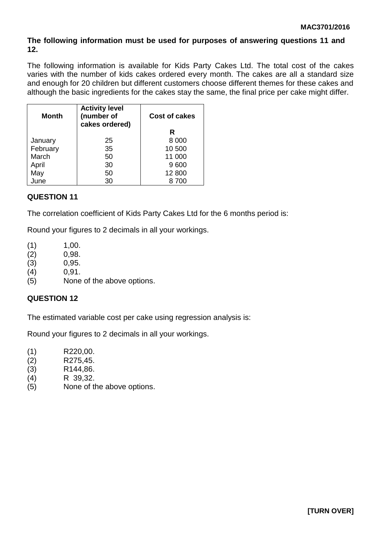## **The following information must be used for purposes of answering questions 11 and 12.**

The following information is available for Kids Party Cakes Ltd. The total cost of the cakes varies with the number of kids cakes ordered every month. The cakes are all a standard size and enough for 20 children but different customers choose different themes for these cakes and although the basic ingredients for the cakes stay the same, the final price per cake might differ.

| <b>Month</b> | <b>Activity level</b><br>(number of<br>cakes ordered) | <b>Cost of cakes</b> |
|--------------|-------------------------------------------------------|----------------------|
|              |                                                       | R                    |
| January      | 25                                                    | 8 0 0 0              |
| February     | 35                                                    | 10 500               |
| March        | 50                                                    | 11 000               |
| April        | 30                                                    | 9600                 |
| May          | 50                                                    | 12 800               |
| June         | 30                                                    | 8 700                |

## **QUESTION 11**

The correlation coefficient of Kids Party Cakes Ltd for the 6 months period is:

Round your figures to 2 decimals in all your workings.

- $(1)$  1,00.
- (2) 0,98.
- (3) 0,95.
- (4) 0,91.
- (5) None of the above options.

## **QUESTION 12**

The estimated variable cost per cake using regression analysis is:

Round your figures to 2 decimals in all your workings.

- (1) R220,00.
- (2) R275,45.
- (3) R144,86.
- (4) R 39,32.
- (5) None of the above options.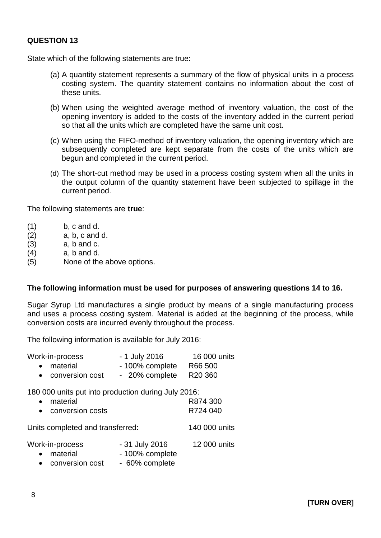State which of the following statements are true:

- (a) A quantity statement represents a summary of the flow of physical units in a process costing system. The quantity statement contains no information about the cost of these units.
- (b) When using the weighted average method of inventory valuation, the cost of the opening inventory is added to the costs of the inventory added in the current period so that all the units which are completed have the same unit cost.
- (c) When using the FIFO-method of inventory valuation, the opening inventory which are subsequently completed are kept separate from the costs of the units which are begun and completed in the current period.
- (d) The short-cut method may be used in a process costing system when all the units in the output column of the quantity statement have been subjected to spillage in the current period.

The following statements are **true**:

- $(1)$  b, c and d.
- $(2)$  a, b, c and d.
- $(3)$  a, b and c.
- $(4)$  a, b and d.
- (5) None of the above options.

#### **The following information must be used for purposes of answering questions 14 to 16.**

Sugar Syrup Ltd manufactures a single product by means of a single manufacturing process and uses a process costing system. Material is added at the beginning of the process, while conversion costs are incurred evenly throughout the process.

The following information is available for July 2016:

| Work-in-process                                                                                    | - 1 July 2016   | 16 000 units         |
|----------------------------------------------------------------------------------------------------|-----------------|----------------------|
| material<br>$\bullet$                                                                              | - 100% complete | R66 500              |
| • conversion cost                                                                                  | - 20% complete  | R20 360              |
| 180 000 units put into production during July 2016:<br>material<br>$\bullet$<br>• conversion costs |                 | R874 300<br>R724 040 |
| Units completed and transferred:                                                                   |                 | 140 000 units        |

Work-in-process - 31 July 2016 12 000 units

- material 100% complete
- conversion cost 60% complete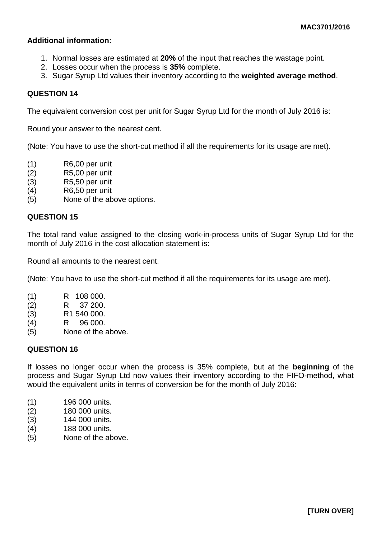### **Additional information:**

- 1. Normal losses are estimated at **20%** of the input that reaches the wastage point.
- 2. Losses occur when the process is **35%** complete.
- 3. Sugar Syrup Ltd values their inventory according to the **weighted average method**.

## **QUESTION 14**

The equivalent conversion cost per unit for Sugar Syrup Ltd for the month of July 2016 is:

Round your answer to the nearest cent.

(Note: You have to use the short-cut method if all the requirements for its usage are met).

- (1) R6,00 per unit
- (2) R5,00 per unit
- (3) R5,50 per unit
- (4) R6,50 per unit
- (5) None of the above options.

### **QUESTION 15**

The total rand value assigned to the closing work-in-process units of Sugar Syrup Ltd for the month of July 2016 in the cost allocation statement is:

Round all amounts to the nearest cent.

(Note: You have to use the short-cut method if all the requirements for its usage are met).

- (1) R 108 000.
- (2) R 37 200.
- (3) R1 540 000.
- (4) R 96 000.
- (5) None of the above.

### **QUESTION 16**

If losses no longer occur when the process is 35% complete, but at the **beginning** of the process and Sugar Syrup Ltd now values their inventory according to the FIFO-method, what would the equivalent units in terms of conversion be for the month of July 2016:

- (1) 196 000 units.
- (2) 180 000 units.
- (3) 144 000 units.
- (4) 188 000 units.
- (5) None of the above.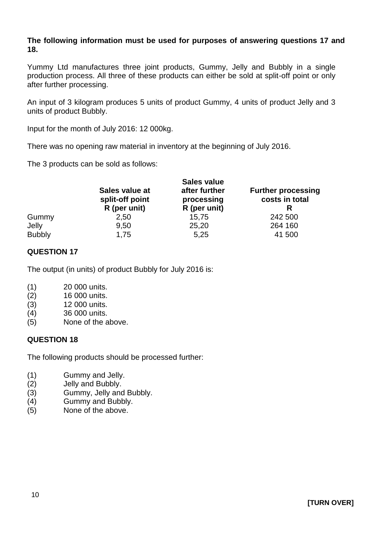### **The following information must be used for purposes of answering questions 17 and 18.**

Yummy Ltd manufactures three joint products, Gummy, Jelly and Bubbly in a single production process. All three of these products can either be sold at split-off point or only after further processing.

An input of 3 kilogram produces 5 units of product Gummy, 4 units of product Jelly and 3 units of product Bubbly.

Input for the month of July 2016: 12 000kg.

There was no opening raw material in inventory at the beginning of July 2016.

The 3 products can be sold as follows:

|               | Sales value at<br>split-off point<br>R (per unit) | Sales value<br>after further<br>processing<br>R (per unit) | <b>Further processing</b><br>costs in total<br>R |
|---------------|---------------------------------------------------|------------------------------------------------------------|--------------------------------------------------|
| Gummy         | 2,50                                              | 15,75                                                      | 242 500                                          |
| Jelly         | 9,50                                              | 25,20                                                      | 264 160                                          |
| <b>Bubbly</b> | 1,75                                              | 5,25                                                       | 41 500                                           |

## **QUESTION 17**

The output (in units) of product Bubbly for July 2016 is:

- (1) 20 000 units.
- (2) 16 000 units.
- (3) 12 000 units.
- (4) 36 000 units.
- (5) None of the above.

### **QUESTION 18**

The following products should be processed further:

- (1) Gummy and Jelly.
- (2) Jelly and Bubbly.
- (3) Gummy, Jelly and Bubbly.
- (4) Gummy and Bubbly.
- (5) None of the above.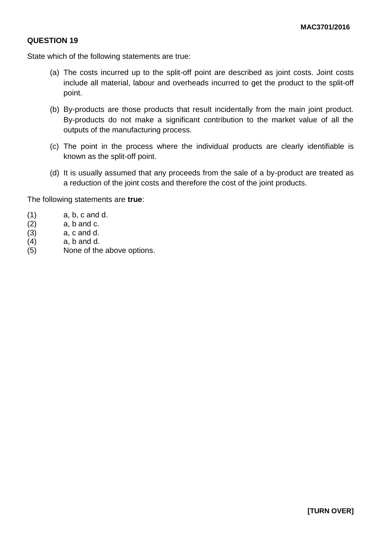State which of the following statements are true:

- (a) The costs incurred up to the split-off point are described as joint costs. Joint costs include all material, labour and overheads incurred to get the product to the split-off point.
- (b) By-products are those products that result incidentally from the main joint product. By-products do not make a significant contribution to the market value of all the outputs of the manufacturing process.
- (c) The point in the process where the individual products are clearly identifiable is known as the split-off point.
- (d) It is usually assumed that any proceeds from the sale of a by-product are treated as a reduction of the joint costs and therefore the cost of the joint products.

The following statements are **true**:

- $(1)$  a, b, c and d.
- $(2)$  a, b and c.
- $(3)$  a, c and d.
- $(4)$  a, b and d.
- (5) None of the above options.